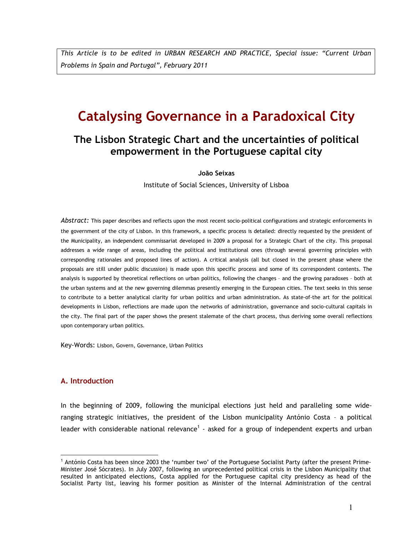This Article is to be edited in URBAN RESEARCH AND PRACTICE, Special issue: "Current Urban Problems in Spain and Portugal", February 2011

# Catalysing Governance in a Paradoxical City

# The Lisbon Strategic Chart and the uncertainties of political empowerment in the Portuguese capital city

João Seixas

Institute of Social Sciences, University of Lisboa

Abstract: This paper describes and reflects upon the most recent socio-political configurations and strategic enforcements in the government of the city of Lisbon. In this framework, a specific process is detailed: directly requested by the president of the Municipality, an independent commissariat developed in 2009 a proposal for a Strategic Chart of the city. This proposal addresses a wide range of areas, including the political and institutional ones (through several governing principles with corresponding rationales and proposed lines of action). A critical analysis (all but closed in the present phase where the proposals are still under public discussion) is made upon this specific process and some of its correspondent contents. The analysis is supported by theoretical reflections on urban politics, following the changes – and the growing paradoxes – both at the urban systems and at the new governing dilemmas presently emerging in the European cities. The text seeks in this sense to contribute to a better analytical clarity for urban politics and urban administration. As state-of-the art for the political developments in Lisbon, reflections are made upon the networks of administration, governance and socio-cultural capitals in the city. The final part of the paper shows the present stalemate of the chart process, thus deriving some overall reflections upon contemporary urban politics.

Key-Words: Lisbon, Govern, Governance, Urban Politics

# A. Introduction

l.

In the beginning of 2009, following the municipal elections just held and paralleling some wideranging strategic initiatives, the president of the Lisbon municipality António Costa – a political leader with considerable national relevance<sup>1</sup> - asked for a group of independent experts and urban

<sup>&</sup>lt;sup>1</sup> António Costa has been since 2003 the 'number two' of the Portuguese Socialist Party (after the present Prime-Minister José Sócrates). In July 2007, following an unprecedented political crisis in the Lisbon Municipality that resulted in anticipated elections, Costa applied for the Portuguese capital city presidency as head of the Socialist Party list, leaving his former position as Minister of the Internal Administration of the central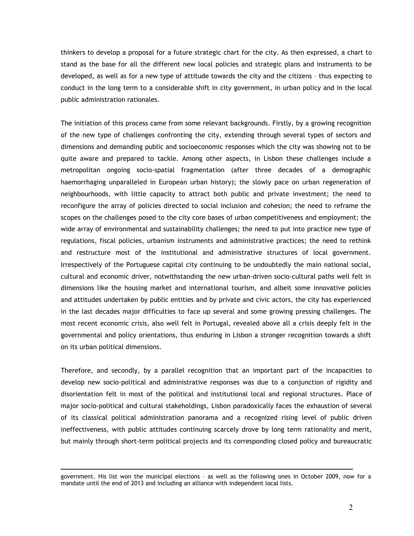thinkers to develop a proposal for a future strategic chart for the city. As then expressed, a chart to stand as the base for all the different new local policies and strategic plans and instruments to be developed, as well as for a new type of attitude towards the city and the citizens – thus expecting to conduct in the long term to a considerable shift in city government, in urban policy and in the local public administration rationales.

The initiation of this process came from some relevant backgrounds. Firstly, by a growing recognition of the new type of challenges confronting the city, extending through several types of sectors and dimensions and demanding public and socioeconomic responses which the city was showing not to be quite aware and prepared to tackle. Among other aspects, in Lisbon these challenges include a metropolitan ongoing socio-spatial fragmentation (after three decades of a demographic haemorrhaging unparalleled in European urban history); the slowly pace on urban regeneration of neighbourhoods, with little capacity to attract both public and private investment; the need to reconfigure the array of policies directed to social inclusion and cohesion; the need to reframe the scopes on the challenges posed to the city core bases of urban competitiveness and employment; the wide array of environmental and sustainability challenges; the need to put into practice new type of regulations, fiscal policies, urbanism instruments and administrative practices; the need to rethink and restructure most of the institutional and administrative structures of local government. Irrespectively of the Portuguese capital city continuing to be undoubtedly the main national social, cultural and economic driver, notwithstanding the new urban-driven socio-cultural paths well felt in dimensions like the housing market and international tourism, and albeit some innovative policies and attitudes undertaken by public entities and by private and civic actors, the city has experienced in the last decades major difficulties to face up several and some growing pressing challenges. The most recent economic crisis, also well felt in Portugal, revealed above all a crisis deeply felt in the governmental and policy orientations, thus enduring in Lisbon a stronger recognition towards a shift on its urban political dimensions.

Therefore, and secondly, by a parallel recognition that an important part of the incapacities to develop new socio-political and administrative responses was due to a conjunction of rigidity and disorientation felt in most of the political and institutional local and regional structures. Place of major socio-political and cultural stakeholdings, Lisbon paradoxically faces the exhaustion of several of its classical political administration panorama and a recognized rising level of public driven ineffectiveness, with public attitudes continuing scarcely drove by long term rationality and merit, but mainly through short-term political projects and its corresponding closed policy and bureaucratic

 $\overline{a}$ 

government. His list won the municipal elections – as well as the following ones in October 2009, now for a mandate until the end of 2013 and including an alliance with independent local lists.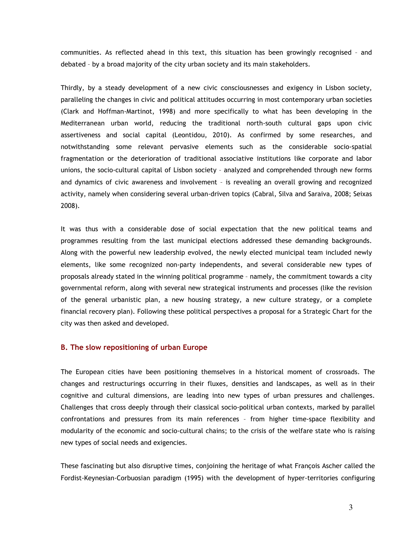communities. As reflected ahead in this text, this situation has been growingly recognised – and debated – by a broad majority of the city urban society and its main stakeholders.

Thirdly, by a steady development of a new civic consciousnesses and exigency in Lisbon society, paralleling the changes in civic and political attitudes occurring in most contemporary urban societies (Clark and Hoffman-Martinot, 1998) and more specifically to what has been developing in the Mediterranean urban world, reducing the traditional north-south cultural gaps upon civic assertiveness and social capital (Leontidou, 2010). As confirmed by some researches, and notwithstanding some relevant pervasive elements such as the considerable socio-spatial fragmentation or the deterioration of traditional associative institutions like corporate and labor unions, the socio-cultural capital of Lisbon society – analyzed and comprehended through new forms and dynamics of civic awareness and involvement – is revealing an overall growing and recognized activity, namely when considering several urban-driven topics (Cabral, Silva and Saraiva, 2008; Seixas 2008).

It was thus with a considerable dose of social expectation that the new political teams and programmes resulting from the last municipal elections addressed these demanding backgrounds. Along with the powerful new leadership evolved, the newly elected municipal team included newly elements, like some recognized non-party independents, and several considerable new types of proposals already stated in the winning political programme – namely, the commitment towards a city governmental reform, along with several new strategical instruments and processes (like the revision of the general urbanistic plan, a new housing strategy, a new culture strategy, or a complete financial recovery plan). Following these political perspectives a proposal for a Strategic Chart for the city was then asked and developed.

# B. The slow repositioning of urban Europe

The European cities have been positioning themselves in a historical moment of crossroads. The changes and restructurings occurring in their fluxes, densities and landscapes, as well as in their cognitive and cultural dimensions, are leading into new types of urban pressures and challenges. Challenges that cross deeply through their classical socio-political urban contexts, marked by parallel confrontations and pressures from its main references – from higher time-space flexibility and modularity of the economic and socio-cultural chains; to the crisis of the welfare state who is raising new types of social needs and exigencies.

These fascinating but also disruptive times, conjoining the heritage of what François Ascher called the Fordist-Keynesian-Corbuosian paradigm (1995) with the development of hyper-territories configuring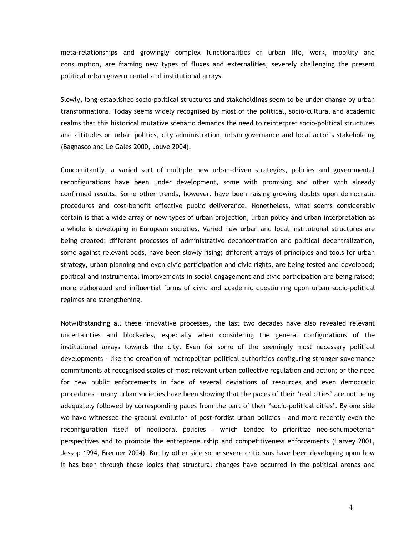meta-relationships and growingly complex functionalities of urban life, work, mobility and consumption, are framing new types of fluxes and externalities, severely challenging the present political urban governmental and institutional arrays.

Slowly, long-established socio-political structures and stakeholdings seem to be under change by urban transformations. Today seems widely recognised by most of the political, socio-cultural and academic realms that this historical mutative scenario demands the need to reinterpret socio-political structures and attitudes on urban politics, city administration, urban governance and local actor's stakeholding (Bagnasco and Le Galés 2000, Jouve 2004).

Concomitantly, a varied sort of multiple new urban-driven strategies, policies and governmental reconfigurations have been under development, some with promising and other with already confirmed results. Some other trends, however, have been raising growing doubts upon democratic procedures and cost-benefit effective public deliverance. Nonetheless, what seems considerably certain is that a wide array of new types of urban projection, urban policy and urban interpretation as a whole is developing in European societies. Varied new urban and local institutional structures are being created; different processes of administrative deconcentration and political decentralization, some against relevant odds, have been slowly rising; different arrays of principles and tools for urban strategy, urban planning and even civic participation and civic rights, are being tested and developed; political and instrumental improvements in social engagement and civic participation are being raised; more elaborated and influential forms of civic and academic questioning upon urban socio-political regimes are strengthening.

Notwithstanding all these innovative processes, the last two decades have also revealed relevant uncertainties and blockades, especially when considering the general configurations of the institutional arrays towards the city. Even for some of the seemingly most necessary political developments - like the creation of metropolitan political authorities configuring stronger governance commitments at recognised scales of most relevant urban collective regulation and action; or the need for new public enforcements in face of several deviations of resources and even democratic procedures – many urban societies have been showing that the paces of their 'real cities' are not being adequately followed by corresponding paces from the part of their 'socio-political cities'. By one side we have witnessed the gradual evolution of post-fordist urban policies – and more recently even the reconfiguration itself of neoliberal policies – which tended to prioritize neo-schumpeterian perspectives and to promote the entrepreneurship and competitiveness enforcements (Harvey 2001, Jessop 1994, Brenner 2004). But by other side some severe criticisms have been developing upon how it has been through these logics that structural changes have occurred in the political arenas and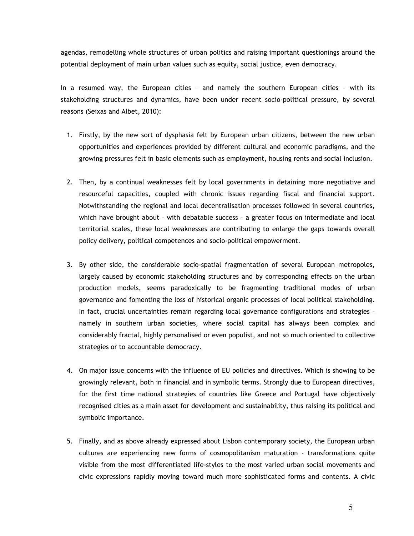agendas, remodelling whole structures of urban politics and raising important questionings around the potential deployment of main urban values such as equity, social justice, even democracy.

In a resumed way, the European cities – and namely the southern European cities – with its stakeholding structures and dynamics, have been under recent socio-political pressure, by several reasons (Seixas and Albet, 2010):

- 1. Firstly, by the new sort of dysphasia felt by European urban citizens, between the new urban opportunities and experiences provided by different cultural and economic paradigms, and the growing pressures felt in basic elements such as employment, housing rents and social inclusion.
- 2. Then, by a continual weaknesses felt by local governments in detaining more negotiative and resourceful capacities, coupled with chronic issues regarding fiscal and financial support. Notwithstanding the regional and local decentralisation processes followed in several countries, which have brought about – with debatable success – a greater focus on intermediate and local territorial scales, these local weaknesses are contributing to enlarge the gaps towards overall policy delivery, political competences and socio-political empowerment.
- 3. By other side, the considerable socio-spatial fragmentation of several European metropoles, largely caused by economic stakeholding structures and by corresponding effects on the urban production models, seems paradoxically to be fragmenting traditional modes of urban governance and fomenting the loss of historical organic processes of local political stakeholding. In fact, crucial uncertainties remain regarding local governance configurations and strategies – namely in southern urban societies, where social capital has always been complex and considerably fractal, highly personalised or even populist, and not so much oriented to collective strategies or to accountable democracy.
- 4. On major issue concerns with the influence of EU policies and directives. Which is showing to be growingly relevant, both in financial and in symbolic terms. Strongly due to European directives, for the first time national strategies of countries like Greece and Portugal have objectively recognised cities as a main asset for development and sustainability, thus raising its political and symbolic importance.
- 5. Finally, and as above already expressed about Lisbon contemporary society, the European urban cultures are experiencing new forms of cosmopolitanism maturation - transformations quite visible from the most differentiated life-styles to the most varied urban social movements and civic expressions rapidly moving toward much more sophisticated forms and contents. A civic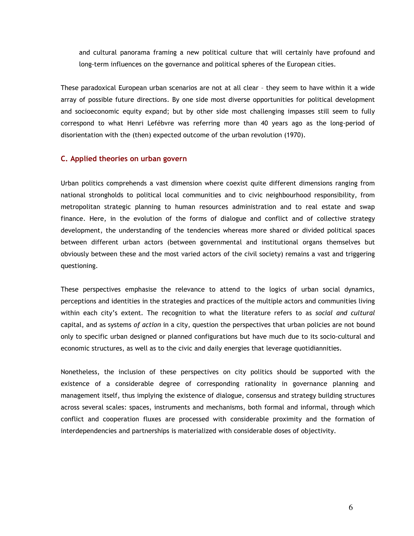and cultural panorama framing a new political culture that will certainly have profound and long-term influences on the governance and political spheres of the European cities.

These paradoxical European urban scenarios are not at all clear – they seem to have within it a wide array of possible future directions. By one side most diverse opportunities for political development and socioeconomic equity expand; but by other side most challenging impasses still seem to fully correspond to what Henri Lefébvre was referring more than 40 years ago as the long-period of disorientation with the (then) expected outcome of the urban revolution (1970).

# C. Applied theories on urban govern

Urban politics comprehends a vast dimension where coexist quite different dimensions ranging from national strongholds to political local communities and to civic neighbourhood responsibility, from metropolitan strategic planning to human resources administration and to real estate and swap finance. Here, in the evolution of the forms of dialogue and conflict and of collective strategy development, the understanding of the tendencies whereas more shared or divided political spaces between different urban actors (between governmental and institutional organs themselves but obviously between these and the most varied actors of the civil society) remains a vast and triggering questioning.

These perspectives emphasise the relevance to attend to the logics of urban social dynamics, perceptions and identities in the strategies and practices of the multiple actors and communities living within each city's extent. The recognition to what the literature refers to as social and cultural capital, and as systems of action in a city, question the perspectives that urban policies are not bound only to specific urban designed or planned configurations but have much due to its socio-cultural and economic structures, as well as to the civic and daily energies that leverage quotidiannities.

Nonetheless, the inclusion of these perspectives on city politics should be supported with the existence of a considerable degree of corresponding rationality in governance planning and management itself, thus implying the existence of dialogue, consensus and strategy building structures across several scales: spaces, instruments and mechanisms, both formal and informal, through which conflict and cooperation fluxes are processed with considerable proximity and the formation of interdependencies and partnerships is materialized with considerable doses of objectivity.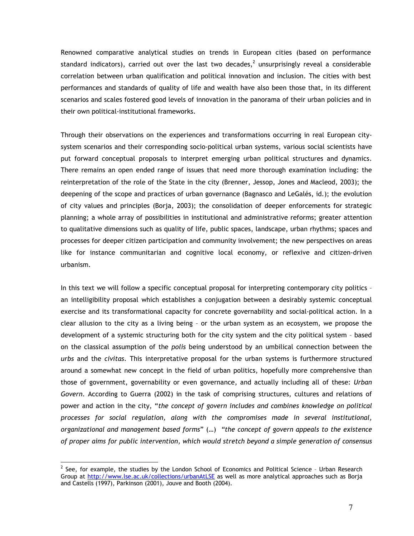Renowned comparative analytical studies on trends in European cities (based on performance standard indicators), carried out over the last two decades,<sup>2</sup> unsurprisingly reveal a considerable correlation between urban qualification and political innovation and inclusion. The cities with best performances and standards of quality of life and wealth have also been those that, in its different scenarios and scales fostered good levels of innovation in the panorama of their urban policies and in their own political-institutional frameworks.

Through their observations on the experiences and transformations occurring in real European citysystem scenarios and their corresponding socio-political urban systems, various social scientists have put forward conceptual proposals to interpret emerging urban political structures and dynamics. There remains an open ended range of issues that need more thorough examination including: the reinterpretation of the role of the State in the city (Brenner, Jessop, Jones and Macleod, 2003); the deepening of the scope and practices of urban governance (Bagnasco and LeGalés, id.); the evolution of city values and principles (Borja, 2003); the consolidation of deeper enforcements for strategic planning; a whole array of possibilities in institutional and administrative reforms; greater attention to qualitative dimensions such as quality of life, public spaces, landscape, urban rhythms; spaces and processes for deeper citizen participation and community involvement; the new perspectives on areas like for instance communitarian and cognitive local economy, or reflexive and citizen-driven urbanism.

In this text we will follow a specific conceptual proposal for interpreting contemporary city politics an intelligibility proposal which establishes a conjugation between a desirably systemic conceptual exercise and its transformational capacity for concrete governability and social-political action. In a clear allusion to the city as a living being – or the urban system as an ecosystem, we propose the development of a systemic structuring both for the city system and the city political system – based on the classical assumption of the *polis* being understood by an umbilical connection between the urbs and the civitas. This interpretative proposal for the urban systems is furthermore structured around a somewhat new concept in the field of urban politics, hopefully more comprehensive than those of government, governability or even governance, and actually including all of these: Urban Govern. According to Guerra (2002) in the task of comprising structures, cultures and relations of power and action in the city, "the concept of govern includes and combines knowledge on political processes for social regulation, along with the compromises made in several institutional, organizational and management based forms" (…) "the concept of govern appeals to the existence of proper aims for public intervention, which would stretch beyond a simple generation of consensus

l.

 $2$  See, for example, the studies by the London School of Economics and Political Science - Urban Research Group at http://www.lse.ac.uk/collections/urbanAtLSE as well as more analytical approaches such as Borja and Castells (1997), Parkinson (2001), Jouve and Booth (2004).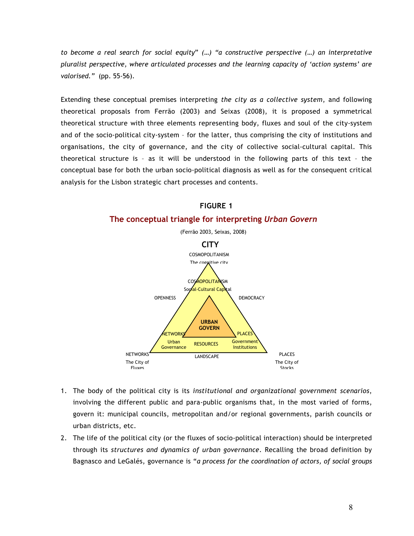to become a real search for social equity" (…) "a constructive perspective (…) an interpretative pluralist perspective, where articulated processes and the learning capacity of 'action systems' are valorised." (pp. 55-56).

Extending these conceptual premises interpreting the city as a collective system, and following theoretical proposals from Ferrão (2003) and Seixas (2008), it is proposed a symmetrical theoretical structure with three elements representing body, fluxes and soul of the city-system and of the socio-political city-system – for the latter, thus comprising the city of institutions and organisations, the city of governance, and the city of collective social-cultural capital. This theoretical structure is – as it will be understood in the following parts of this text – the conceptual base for both the urban socio-political diagnosis as well as for the consequent critical analysis for the Lisbon strategic chart processes and contents.



# FIGURE 1

1. The body of the political city is its institutional and organizational government scenarios, involving the different public and para-public organisms that, in the most varied of forms, govern it: municipal councils, metropolitan and/or regional governments, parish councils or

2. The life of the political city (or the fluxes of socio-political interaction) should be interpreted through its structures and dynamics of urban governance. Recalling the broad definition by Bagnasco and LeGalés, governance is "a process for the coordination of actors, of social groups

urban districts, etc.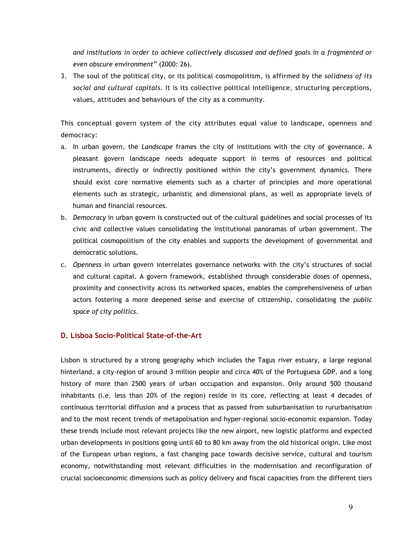and institutions in order to achieve collectively discussed and defined goals in a fragmented or even obscure environment" (2000: 26).

3. The soul of the political city, or its political cosmopolitism, is affirmed by the solidness of its social and cultural capitals. It is its collective political intelligence, structuring perceptions, values, attitudes and behaviours of the city as a community.

This conceptual govern system of the city attributes equal value to landscape, openness and democracy:

- a. In urban govern, the Landscape frames the city of institutions with the city of governance. A pleasant govern landscape needs adequate support in terms of resources and political instruments, directly or indirectly positioned within the city's government dynamics. There should exist core normative elements such as a charter of principles and more operational elements such as strategic, urbanistic and dimensional plans, as well as appropriate levels of human and financial resources.
- b. Democracy in urban govern is constructed out of the cultural guidelines and social processes of its civic and collective values consolidating the institutional panoramas of urban government. The political cosmopolitism of the city enables and supports the development of governmental and democratic solutions.
- c. Openness in urban govern interrelates governance networks with the city's structures of social and cultural capital. A govern framework, established through considerable doses of openness, proximity and connectivity across its networked spaces, enables the comprehensiveness of urban actors fostering a more deepened sense and exercise of citizenship, consolidating the public space of city politics.

# D. Lisboa Socio-Political State-of-the-Art

Lisbon is structured by a strong geography which includes the Tagus river estuary, a large regional hinterland, a city-region of around 3 million people and circa 40% of the Portuguesa GDP, and a long history of more than 2500 years of urban occupation and expansion. Only around 500 thousand inhabitants (i.e. less than 20% of the region) reside in its core, reflecting at least 4 decades of continuous territorial diffusion and a process that as passed from suburbanisation to rururbanisation and to the most recent trends of metapolisation and hyper-regional socio-economic expansion. Today these trends include most relevant projects like the new airport, new logistic platforms and expected urban developments in positions going until 60 to 80 km away from the old historical origin. Like most of the European urban regions, a fast changing pace towards decisive service, cultural and tourism economy, notwithstanding most relevant difficulties in the modernisation and reconfiguration of crucial socioeconomic dimensions such as policy delivery and fiscal capacities from the different tiers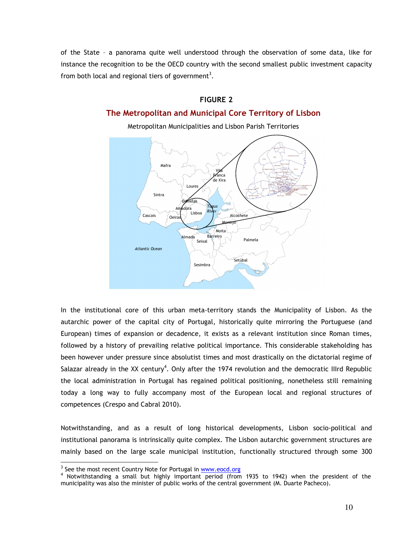of the State – a panorama quite well understood through the observation of some data, like for instance the recognition to be the OECD country with the second smallest public investment capacity from both local and regional tiers of government<sup>3</sup>.

# FIGURE 2

# The Metropolitan and Municipal Core Territory of Lisbon

Metropolitan Municipalities and Lisbon Parish Territories



In the institutional core of this urban meta-territory stands the Municipality of Lisbon. As the autarchic power of the capital city of Portugal, historically quite mirroring the Portuguese (and European) times of expansion or decadence, it exists as a relevant institution since Roman times, followed by a history of prevailing relative political importance. This considerable stakeholding has been however under pressure since absolutist times and most drastically on the dictatorial regime of Salazar already in the XX century<sup>4</sup>. Only after the 1974 revolution and the democratic IIIrd Republic the local administration in Portugal has regained political positioning, nonetheless still remaining today a long way to fully accompany most of the European local and regional structures of competences (Crespo and Cabral 2010).

Notwithstanding, and as a result of long historical developments, Lisbon socio-political and institutional panorama is intrinsically quite complex. The Lisbon autarchic government structures are mainly based on the large scale municipal institution, functionally structured through some 300

l.

<sup>&</sup>lt;sup>3</sup> See the most recent Country Note for Portugal in **www.eocd.org** 

<sup>4</sup> Notwithstanding a small but highly important period (from 1935 to 1942) when the president of the municipality was also the minister of public works of the central government (M. Duarte Pacheco).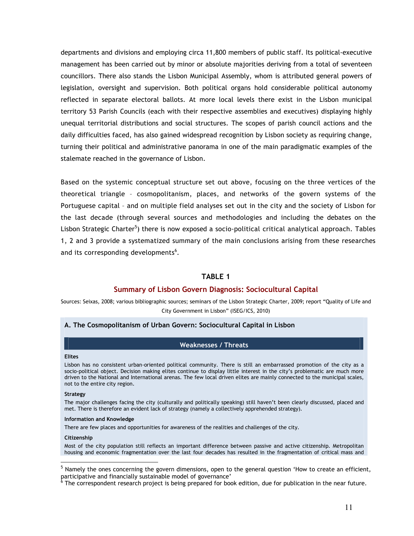departments and divisions and employing circa 11,800 members of public staff. Its political-executive management has been carried out by minor or absolute majorities deriving from a total of seventeen councillors. There also stands the Lisbon Municipal Assembly, whom is attributed general powers of legislation, oversight and supervision. Both political organs hold considerable political autonomy reflected in separate electoral ballots. At more local levels there exist in the Lisbon municipal territory 53 Parish Councils (each with their respective assemblies and executives) displaying highly unequal territorial distributions and social structures. The scopes of parish council actions and the daily difficulties faced, has also gained widespread recognition by Lisbon society as requiring change, turning their political and administrative panorama in one of the main paradigmatic examples of the stalemate reached in the governance of Lisbon.

Based on the systemic conceptual structure set out above, focusing on the three vertices of the theoretical triangle – cosmopolitanism, places, and networks of the govern systems of the Portuguese capital – and on multiple field analyses set out in the city and the society of Lisbon for the last decade (through several sources and methodologies and including the debates on the Lisbon Strategic Charter<sup>5</sup>) there is now exposed a socio-political critical analytical approach. Tables 1, 2 and 3 provide a systematized summary of the main conclusions arising from these researches and its corresponding developments<sup>6</sup>.

# TABLE 1

# Summary of Lisbon Govern Diagnosis: Sociocultural Capital

Sources: Seixas, 2008; various bibliographic sources; seminars of the Lisbon Strategic Charter, 2009; report "Quality of Life and City Government in Lisbon" (ISEG/ICS, 2010)

## A. The Cosmopolitanism of Urban Govern: Sociocultural Capital in Lisbon

### Weaknesses / Threats

### Elites

Lisbon has no consistent urban-oriented political community. There is still an embarrassed promotion of the city as a socio-political object. Decision making elites continue to display little interest in the city's problematic are much more driven to the National and International arenas. The few local driven elites are mainly connected to the municipal scales, not to the entire city region.

#### Strategy

The major challenges facing the city (culturally and politically speaking) still haven't been clearly discussed, placed and met. There is therefore an evident lack of strategy (namely a collectively apprehended strategy).

#### Information and Knowledge

There are few places and opportunities for awareness of the realities and challenges of the city.

#### **Citizenship**

l.

Most of the city population still reflects an important difference between passive and active citizenship. Metropolitan housing and economic fragmentation over the last four decades has resulted in the fragmentation of critical mass and

<sup>&</sup>lt;sup>5</sup> Namely the ones concerning the govern dimensions, open to the general question 'How to create an efficient, participative and financially sustainable model of governance' 6

The correspondent research project is being prepared for book edition, due for publication in the near future.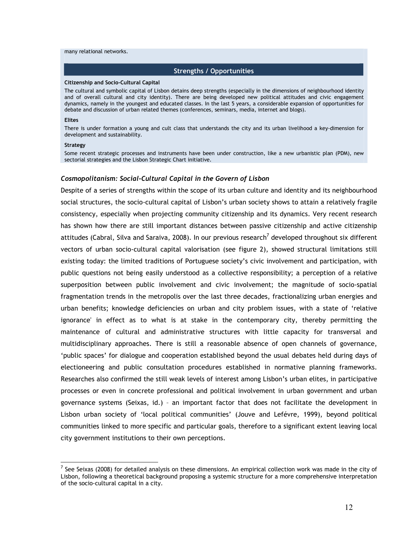#### many relational networks.

### Strengths / Opportunities

#### Citizenship and Socio-Cultural Capital

The cultural and symbolic capital of Lisbon detains deep strengths (especially in the dimensions of neighbourhood identity and of overall cultural and city identity). There are being developed new political attitudes and civic engagement dynamics, namely in the youngest and educated classes. In the last 5 years, a considerable expansion of opportunities for debate and discussion of urban related themes (conferences, seminars, media, internet and blogs).

#### Elites

There is under formation a young and cult class that understands the city and its urban livelihood a key-dimension for development and sustainability.

#### Strategy

l.

Some recent strategic processes and instruments have been under construction, like a new urbanistic plan (PDM), new sectorial strategies and the Lisbon Strategic Chart initiative.

## Cosmopolitanism: Social-Cultural Capital in the Govern of Lisbon

Despite of a series of strengths within the scope of its urban culture and identity and its neighbourhood social structures, the socio-cultural capital of Lisbon's urban society shows to attain a relatively fragile consistency, especially when projecting community citizenship and its dynamics. Very recent research has shown how there are still important distances between passive citizenship and active citizenship attitudes (Cabral, Silva and Saraiva, 2008). In our previous research<sup>7</sup> developed throughout six different vectors of urban socio-cultural capital valorisation (see figure 2), showed structural limitations still existing today: the limited traditions of Portuguese society's civic involvement and participation, with public questions not being easily understood as a collective responsibility; a perception of a relative superposition between public involvement and civic involvement; the magnitude of socio-spatial fragmentation trends in the metropolis over the last three decades, fractionalizing urban energies and urban benefits; knowledge deficiencies on urban and city problem issues, with a state of 'relative ignorance' in effect as to what is at stake in the contemporary city, thereby permitting the maintenance of cultural and administrative structures with little capacity for transversal and multidisciplinary approaches. There is still a reasonable absence of open channels of governance, 'public spaces' for dialogue and cooperation established beyond the usual debates held during days of electioneering and public consultation procedures established in normative planning frameworks. Researches also confirmed the still weak levels of interest among Lisbon's urban elites, in participative processes or even in concrete professional and political involvement in urban government and urban governance systems (Seixas, id.) – an important factor that does not facilitate the development in Lisbon urban society of 'local political communities' (Jouve and Lefévre, 1999), beyond political communities linked to more specific and particular goals, therefore to a significant extent leaving local city government institutions to their own perceptions.

 $^7$  See Seixas (2008) for detailed analysis on these dimensions. An empirical collection work was made in the city of Lisbon, following a theoretical background proposing a systemic structure for a more comprehensive interpretation of the socio-cultural capital in a city.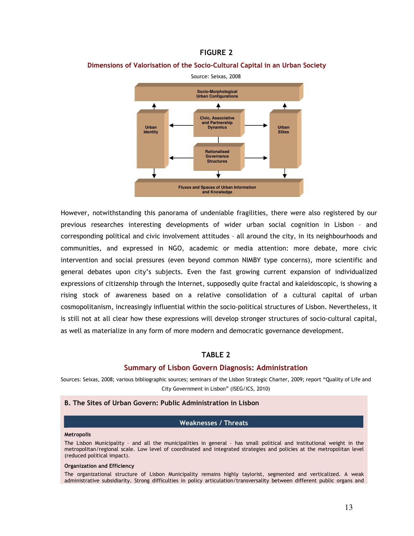# FIGURE 2

### Dimensions of Valorisation of the Socio-Cultural Capital in an Urban Society



However, notwithstanding this panorama of undeniable fragilities, there were also registered by our previous researches interesting developments of wider urban social cognition in Lisbon – and corresponding political and civic involvement attitudes – all around the city, in its neighbourhoods and communities, and expressed in NGO, academic or media attention: more debate, more civic intervention and social pressures (even beyond common NIMBY type concerns), more scientific and general debates upon city's subjects. Even the fast growing current expansion of individualized expressions of citizenship through the Internet, supposedly quite fractal and kaleidoscopic, is showing a rising stock of awareness based on a relative consolidation of a cultural capital of urban cosmopolitanism, increasingly influential within the socio-political structures of Lisbon. Nevertheless, it is still not at all clear how these expressions will develop stronger structures of socio-cultural capital, as well as materialize in any form of more modern and democratic governance development.

# TABLE 2

### Summary of Lisbon Govern Diagnosis: Administration

Sources: Seixas, 2008; various bibliographic sources; seminars of the Lisbon Strategic Charter, 2009; report "Quality of Life and City Government in Lisbon" (ISEG/ICS, 2010)

# B. The Sites of Urban Govern: Public Administration in Lisbon

#### Weaknesses / Threats

## **Metropolis**

The Lisbon Municipality – and all the municipalities in general – has small political and institutional weight in the metropolitan/regional scale. Low level of coordinated and integrated strategies and policies at the metropolitan level (reduced political impact).

#### Organization and Efficiency

The organizational structure of Lisbon Municipality remains highly taylorist, segmented and verticalized. A weak administrative subsidiarity. Strong difficulties in policy articulation/transversality between different public organs and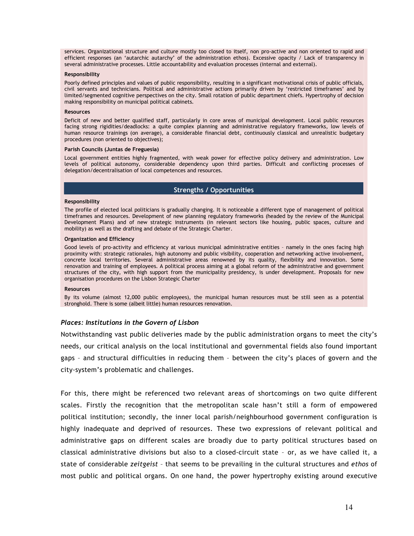services. Organizational structure and culture mostly too closed to itself, non pro-active and non oriented to rapid and efficient responses (an 'autarchic autarchy' of the administration ethos). Excessive opacity / Lack of transparency in several administrative processes. Little accountability and evaluation processes (internal and external).

#### Responsibility

Poorly defined principles and values of public responsibility, resulting in a significant motivational crisis of public officials, civil servants and technicians. Political and administrative actions primarily driven by 'restricted timeframes' and by limited/segmented cognitive perspectives on the city. Small rotation of public department chiefs. Hypertrophy of decision making responsibility on municipal political cabinets.

### Resources

Deficit of new and better qualified staff, particularly in core areas of municipal development. Local public resources facing strong rigidities/deadlocks: a quite complex planning and administrative regulatory frameworks, low levels of human resource trainings (on average), a considerable financial debt, continuously classical and unrealistic budgetary procedures (non oriented to objectives);

#### Parish Councils (Juntas de Freguesia)

Local government entities highly fragmented, with weak power for effective policy delivery and administration. Low levels of political autonomy, considerable dependency upon third parties. Difficult and conflicting processes of delegation/decentralisation of local competences and resources.

# Strengths / Opportunities

#### Responsibility

The profile of elected local politicians is gradually changing. It is noticeable a different type of management of political timeframes and resources. Development of new planning regulatory frameworks (headed by the review of the Municipal Development Plans) and of new strategic instruments (in relevant sectors like housing, public spaces, culture and mobility) as well as the drafting and debate of the Strategic Charter.

#### Organization and Efficiency

Good levels of pro-activity and efficiency at various municipal administrative entities – namely in the ones facing high proximity with: strategic rationales, high autonomy and public visibility, cooperation and networking active involvement, concrete local territories. Several administrative areas renowned by its quality, flexibility and innovation. Some renovation and training of employees. A political process aiming at a global reform of the administrative and government structures of the city, with high support from the municipality presidency, is under development. Proposals for new organisation procedures on the Lisbon Strategic Charter

#### Resources

By its volume (almost 12,000 public employees), the municipal human resources must be still seen as a potential stronghold. There is some (albeit little) human resources renovation.

### Places: Institutions in the Govern of Lisbon

Notwithstanding vast public deliveries made by the public administration organs to meet the city's needs, our critical analysis on the local institutional and governmental fields also found important gaps – and structural difficulties in reducing them – between the city's places of govern and the city-system's problematic and challenges.

For this, there might be referenced two relevant areas of shortcomings on two quite different scales. Firstly the recognition that the metropolitan scale hasn't still a form of empowered political institution; secondly, the inner local parish/neighbourhood government configuration is highly inadequate and deprived of resources. These two expressions of relevant political and administrative gaps on different scales are broadly due to party political structures based on classical administrative divisions but also to a closed-circuit state – or, as we have called it, a state of considerable zeitgeist - that seems to be prevailing in the cultural structures and ethos of most public and political organs. On one hand, the power hypertrophy existing around executive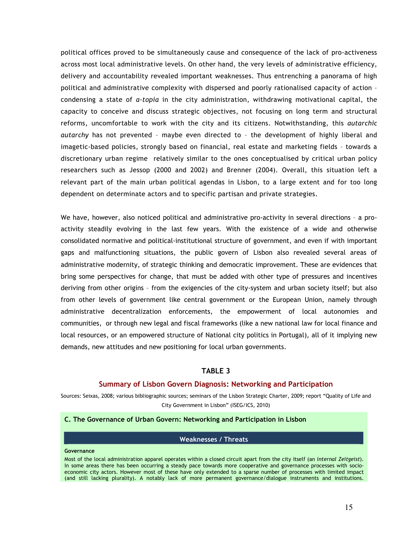political offices proved to be simultaneously cause and consequence of the lack of pro-activeness across most local administrative levels. On other hand, the very levels of administrative efficiency, delivery and accountability revealed important weaknesses. Thus entrenching a panorama of high political and administrative complexity with dispersed and poorly rationalised capacity of action – condensing a state of *a-topia* in the city administration, withdrawing motivational capital, the capacity to conceive and discuss strategic objectives, not focusing on long term and structural reforms, uncomfortable to work with the city and its citizens. Notwithstanding, this autarchic autarchy has not prevented – maybe even directed to – the development of highly liberal and imagetic-based policies, strongly based on financial, real estate and marketing fields – towards a discretionary urban regime relatively similar to the ones conceptualised by critical urban policy researchers such as Jessop (2000 and 2002) and Brenner (2004). Overall, this situation left a relevant part of the main urban political agendas in Lisbon, to a large extent and for too long dependent on determinate actors and to specific partisan and private strategies.

We have, however, also noticed political and administrative pro-activity in several directions - a proactivity steadily evolving in the last few years. With the existence of a wide and otherwise consolidated normative and political-institutional structure of government, and even if with important gaps and malfunctioning situations, the public govern of Lisbon also revealed several areas of administrative modernity, of strategic thinking and democratic improvement. These are evidences that bring some perspectives for change, that must be added with other type of pressures and incentives deriving from other origins – from the exigencies of the city-system and urban society itself; but also from other levels of government like central government or the European Union, namely through administrative decentralization enforcements, the empowerment of local autonomies and communities, or through new legal and fiscal frameworks (like a new national law for local finance and local resources, or an empowered structure of National city politics in Portugal), all of it implying new demands, new attitudes and new positioning for local urban governments.

# TABLE 3

### Summary of Lisbon Govern Diagnosis: Networking and Participation

Sources: Seixas, 2008; various bibliographic sources; seminars of the Lisbon Strategic Charter, 2009; report "Quality of Life and City Government in Lisbon" (ISEG/ICS, 2010)

#### C. The Governance of Urban Govern: Networking and Participation in Lisbon

### Weaknesses / Threats

#### Governance

Most of the local administration apparel operates within a closed circuit apart from the city itself (an internal Zeitgeist). In some areas there has been occurring a steady pace towards more cooperative and governance processes with socioeconomic city actors. However most of these have only extended to a sparse number of processes with limited impact (and still lacking plurality). A notably lack of more permanent governance/dialogue instruments and institutions.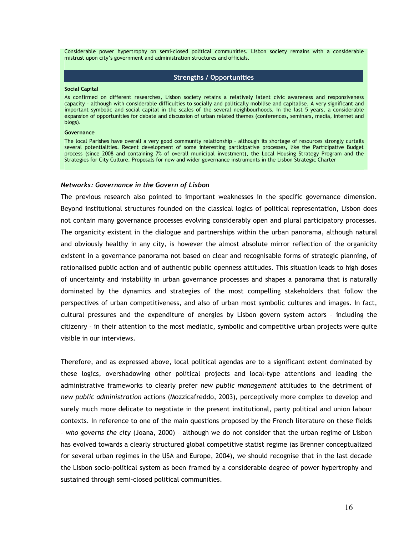Considerable power hypertrophy on semi-closed political communities. Lisbon society remains with a considerable mistrust upon city's government and administration structures and officials.

### Strengths / Opportunities

#### Social Capital

As confirmed on different researches, Lisbon society retains a relatively latent civic awareness and responsiveness capacity – although with considerable difficulties to socially and politically mobilise and capitalise. A very significant and important symbolic and social capital in the scales of the several neighbourhoods. In the last 5 years, a considerable expansion of opportunities for debate and discussion of urban related themes (conferences, seminars, media, internet and blogs).

#### **Governance**

The local Parishes have overall a very good community relationship – although its shortage of resources strongly curtails several potentialities. Recent development of some interesting participative processes, like the Participative Budget process (since 2008 and containing 7% of overall municipal investment), the Local Housing Strategy Program and the Strategies for City Culture. Proposals for new and wider governance instruments in the Lisbon Strategic Charter

#### Networks: Governance in the Govern of Lisbon

The previous research also pointed to important weaknesses in the specific governance dimension. Beyond institutional structures founded on the classical logics of political representation, Lisbon does not contain many governance processes evolving considerably open and plural participatory processes. The organicity existent in the dialogue and partnerships within the urban panorama, although natural and obviously healthy in any city, is however the almost absolute mirror reflection of the organicity existent in a governance panorama not based on clear and recognisable forms of strategic planning, of rationalised public action and of authentic public openness attitudes. This situation leads to high doses of uncertainty and instability in urban governance processes and shapes a panorama that is naturally dominated by the dynamics and strategies of the most compelling stakeholders that follow the perspectives of urban competitiveness, and also of urban most symbolic cultures and images. In fact, cultural pressures and the expenditure of energies by Lisbon govern system actors – including the citizenry – in their attention to the most mediatic, symbolic and competitive urban projects were quite visible in our interviews.

Therefore, and as expressed above, local political agendas are to a significant extent dominated by these logics, overshadowing other political projects and local-type attentions and leading the administrative frameworks to clearly prefer new public management attitudes to the detriment of new public administration actions (Mozzicafreddo, 2003), perceptively more complex to develop and surely much more delicate to negotiate in the present institutional, party political and union labour contexts. In reference to one of the main questions proposed by the French literature on these fields – who governs the city (Joana, 2000) – although we do not consider that the urban regime of Lisbon has evolved towards a clearly structured global competitive statist regime (as Brenner conceptualized for several urban regimes in the USA and Europe, 2004), we should recognise that in the last decade the Lisbon socio-political system as been framed by a considerable degree of power hypertrophy and sustained through semi-closed political communities.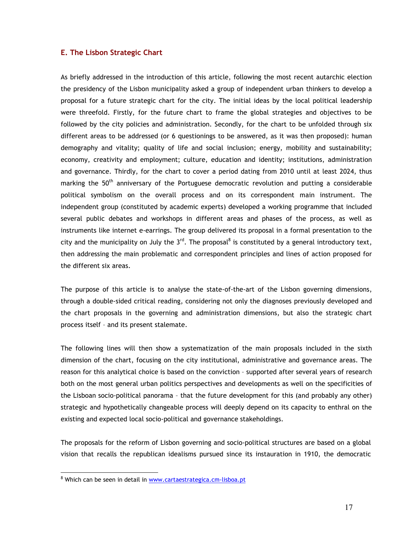# E. The Lisbon Strategic Chart

As briefly addressed in the introduction of this article, following the most recent autarchic election the presidency of the Lisbon municipality asked a group of independent urban thinkers to develop a proposal for a future strategic chart for the city. The initial ideas by the local political leadership were threefold. Firstly, for the future chart to frame the global strategies and objectives to be followed by the city policies and administration. Secondly, for the chart to be unfolded through six different areas to be addressed (or 6 questionings to be answered, as it was then proposed): human demography and vitality; quality of life and social inclusion; energy, mobility and sustainability; economy, creativity and employment; culture, education and identity; institutions, administration and governance. Thirdly, for the chart to cover a period dating from 2010 until at least 2024, thus marking the 50<sup>th</sup> anniversary of the Portuguese democratic revolution and putting a considerable political symbolism on the overall process and on its correspondent main instrument. The independent group (constituted by academic experts) developed a working programme that included several public debates and workshops in different areas and phases of the process, as well as instruments like internet e-earrings. The group delivered its proposal in a formal presentation to the city and the municipality on July the 3<sup>rd</sup>. The proposal<sup>8</sup> is constituted by a general introductory text, then addressing the main problematic and correspondent principles and lines of action proposed for the different six areas.

The purpose of this article is to analyse the state-of-the-art of the Lisbon governing dimensions, through a double-sided critical reading, considering not only the diagnoses previously developed and the chart proposals in the governing and administration dimensions, but also the strategic chart process itself – and its present stalemate.

The following lines will then show a systematization of the main proposals included in the sixth dimension of the chart, focusing on the city institutional, administrative and governance areas. The reason for this analytical choice is based on the conviction – supported after several years of research both on the most general urban politics perspectives and developments as well on the specificities of the Lisboan socio-political panorama – that the future development for this (and probably any other) strategic and hypothetically changeable process will deeply depend on its capacity to enthral on the existing and expected local socio-political and governance stakeholdings.

The proposals for the reform of Lisbon governing and socio-political structures are based on a global vision that recalls the republican idealisms pursued since its instauration in 1910, the democratic

 $\overline{a}$ 

<sup>&</sup>lt;sup>8</sup> Which can be seen in detail in <u>www.cartaestrategica.cm-lisboa.pt</u>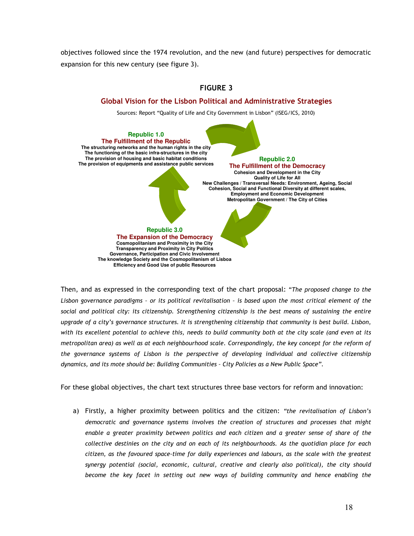objectives followed since the 1974 revolution, and the new (and future) perspectives for democratic expansion for this new century (see figure 3).



Then, and as expressed in the corresponding text of the chart proposal: "The proposed change to the Lisbon governance paradigms – or its political revitalisation – is based upon the most critical element of the social and political city: its citizenship. Strengthening citizenship is the best means of sustaining the entire upgrade of a city's governance structures. It is strengthening citizenship that community is best build. Lisbon, with its excellent potential to achieve this, needs to build community both at the city scale (and even at its metropolitan area) as well as at each neighbourhood scale. Correspondingly, the key concept for the reform of the governance systems of Lisbon is the perspective of developing individual and collective citizenship dynamics, and its mote should be: Building Communities – City Policies as a New Public Space".

For these global objectives, the chart text structures three base vectors for reform and innovation:

a) Firstly, a higher proximity between politics and the citizen: "the revitalisation of Lisbon's democratic and governance systems involves the creation of structures and processes that might enable a greater proximity between politics and each citizen and a greater sense of share of the collective destinies on the city and on each of its neighbourhoods. As the quotidian place for each citizen, as the favoured space-time for daily experiences and labours, as the scale with the greatest synergy potential (social, economic, cultural, creative and clearly also political), the city should become the key facet in setting out new ways of building community and hence enabling the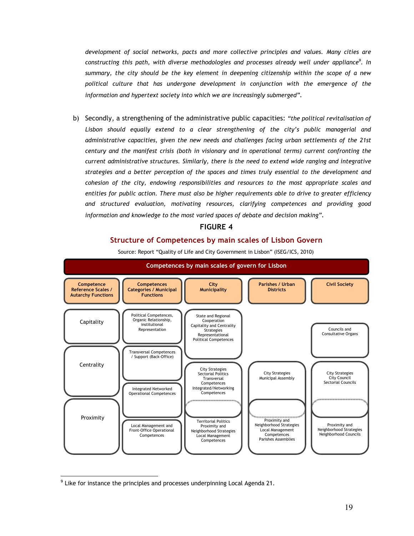development of social networks, pacts and more collective principles and values. Many cities are constructing this path, with diverse methodologies and processes already well under appliance $^9$ . In summary, the city should be the key element in deepening citizenship within the scope of a new political culture that has undergone development in conjunction with the emergence of the information and hypertext society into which we are increasingly submerged".

b) Secondly, a strengthening of the administrative public capacities: "the political revitalisation of Lisbon should equally extend to a clear strengthening of the city's public managerial and administrative capacities, given the new needs and challenges facing urban settlements of the 21st century and the manifest crisis (both in visionary and in operational terms) current confronting the current administrative structures. Similarly, there is the need to extend wide ranging and integrative strategies and a better perception of the spaces and times truly essential to the development and cohesion of the city, endowing responsibilities and resources to the most appropriate scales and entities for public action. There must also be higher requirements able to drive to greater efficiency and structured evaluation, motivating resources, clarifying competences and providing good information and knowledge to the most varied spaces of debate and decision making".

# FIGURE 4

# Structure of Competences by main scales of Lisbon Govern





<sup>&</sup>lt;sup>9</sup> Like for instance the principles and processes underpinning Local Agenda 21.

 $\overline{a}$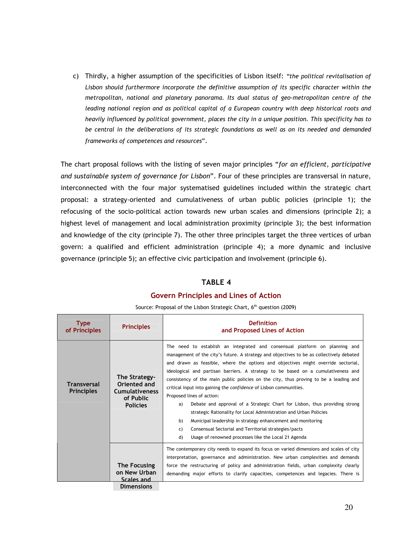c) Thirdly, a higher assumption of the specificities of Lisbon itself: "the political revitalisation of Lisbon should furthermore incorporate the definitive assumption of its specific character within the metropolitan, national and planetary panorama. Its dual status of geo-metropolitan centre of the leading national region and as political capital of a European country with deep historical roots and heavily influenced by political government, places the city in a unique position. This specificity has to be central in the deliberations of its strategic foundations as well as on its needed and demanded frameworks of competences and resources".

The chart proposal follows with the listing of seven major principles "for an efficient, participative and sustainable system of governance for Lisbon". Four of these principles are transversal in nature, interconnected with the four major systematised guidelines included within the strategic chart proposal: a strategy-oriented and cumulativeness of urban public policies (principle 1); the refocusing of the socio-political action towards new urban scales and dimensions (principle 2); a highest level of management and local administration proximity (principle 3); the best information and knowledge of the city (principle 7). The other three principles target the three vertices of urban govern: a qualified and efficient administration (principle 4); a more dynamic and inclusive governance (principle 5); an effective civic participation and involvement (principle 6).

# TABLE 4

# Govern Principles and Lines of Action

| <b>Type</b><br>of Principles            | <b>Principles</b>                                                                      | <b>Definition</b><br>and Proposed Lines of Action                                                                                                                                                                                                                                                                                                                                                                                                                                                                                                                                                                                                                                                                                                                                                                                                                                                       |
|-----------------------------------------|----------------------------------------------------------------------------------------|---------------------------------------------------------------------------------------------------------------------------------------------------------------------------------------------------------------------------------------------------------------------------------------------------------------------------------------------------------------------------------------------------------------------------------------------------------------------------------------------------------------------------------------------------------------------------------------------------------------------------------------------------------------------------------------------------------------------------------------------------------------------------------------------------------------------------------------------------------------------------------------------------------|
| <b>Transversal</b><br><b>Principles</b> | The Strategy-<br>Oriented and<br><b>Cumulativeness</b><br>of Public<br><b>Policies</b> | The need to establish an integrated and consensual platform on planning and<br>management of the city's future. A strategy and objectives to be as collectively debated<br>and drawn as feasible, where the options and objectives might override sectorial,<br>ideological and partisan barriers. A strategy to be based on a cumulativeness and<br>consistency of the main public policies on the city, thus proving to be a leading and<br>critical input into gaining the confidence of Lisbon communities.<br>Proposed lines of action:<br>Debate and approval of a Strategic Chart for Lisbon, thus providing strong<br>a)<br>strategic Rationality for Local Administration and Urban Policies<br>b)<br>Municipal leadership in strategy enhancement and monitoring<br>Consensual Sectorial and Territorial strategies/pacts<br>C)<br>Usage of renowned processes like the Local 21 Agenda<br>d) |
|                                         | The Focusing<br>on New Urban<br>Scales and<br><b>Dimensions</b>                        | The contemporary city needs to expand its focus on varied dimensions and scales of city<br>interpretation, governance and administration. New urban complexities and demands<br>force the restructuring of policy and administration fields, urban complexity clearly<br>demanding major efforts to clarify capacities, competences and legacies. There is                                                                                                                                                                                                                                                                                                                                                                                                                                                                                                                                              |

Source: Proposal of the Lisbon Strategic Chart, 6<sup>th</sup> question (2009)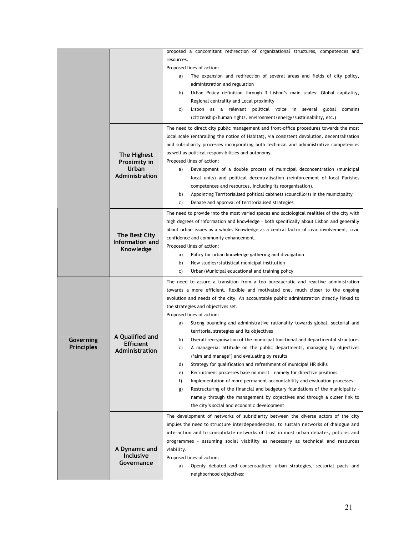|                         |                                                        | proposed a concomitant redirection of organizational structures, competences and                                       |
|-------------------------|--------------------------------------------------------|------------------------------------------------------------------------------------------------------------------------|
|                         |                                                        | resources.                                                                                                             |
|                         |                                                        | Proposed lines of action:                                                                                              |
|                         |                                                        | The expansion and redirection of several areas and fields of city policy,<br>a)                                        |
|                         |                                                        | administration and regulation                                                                                          |
|                         |                                                        | Urban Policy definition through 3 Lisbon's main scales: Global capitality,<br>b)                                       |
|                         |                                                        | Regional centrality and Local proximity                                                                                |
|                         |                                                        | Lisbon as a relevant political voice in several global domains<br>C)                                                   |
|                         |                                                        | (citizenship/human rights, environment/energy/sustainability, etc.)                                                    |
|                         | The Highest<br>Proximity in<br>Urban<br>Administration | The need to direct city public management and front-office procedures towards the most                                 |
|                         |                                                        | local scale (enthralling the notion of Habitat), via consistent devolution, decentralisation                           |
|                         |                                                        | and subsidiarity processes incorporating both technical and administrative competences                                 |
|                         |                                                        | as well as political responsibilities and autonomy.                                                                    |
|                         |                                                        | Proposed lines of action:                                                                                              |
|                         |                                                        | Development of a double process of municipal deconcentration (municipal<br>a)                                          |
|                         |                                                        | local units) and political decentralisation (reinforcement of local Parishes                                           |
|                         |                                                        | competences and resources, including its reorganisation).                                                              |
|                         |                                                        | Appointing Territorialised political cabinets (councillors) in the municipality<br>b)                                  |
|                         |                                                        | Debate and approval of territorialised strategies<br>C)                                                                |
|                         |                                                        | The need to provide into the most varied spaces and sociological realities of the city with                            |
|                         |                                                        | high degrees of information and knowledge - both specifically about Lisbon and generally                               |
|                         | The Best City                                          | about urban issues as a whole. Knowledge as a central factor of civic involvement, civic                               |
|                         | Information and                                        | confidence and community enhancement.<br>Proposed lines of action:                                                     |
|                         | Knowledge                                              | Policy for urban knowledge gathering and divulgation<br>a)                                                             |
|                         |                                                        | New studies/statistical municipal institution<br>b)                                                                    |
|                         |                                                        | Urban/Municipal educational and training policy<br>C)                                                                  |
|                         |                                                        | The need to assure a transition from a too bureaucratic and reactive administration                                    |
|                         |                                                        | towards a more efficient, flexible and motivated one, much closer to the ongoing                                       |
|                         | A Qualified and<br><b>Efficient</b><br>Administration  | evolution and needs of the city. An accountable public administration directly linked to                               |
|                         |                                                        | the strategies and objectives set.                                                                                     |
|                         |                                                        | Proposed lines of action:                                                                                              |
|                         |                                                        | Strong bounding and administrative rationality towards global, sectorial and<br>a)                                     |
|                         |                                                        | territorial strategies and its objectives                                                                              |
| Governing<br>Principles |                                                        | b)<br>Overall reorganisation of the municipal functional and departmental structures                                   |
|                         |                                                        | A managerial attitude on the public departments, managing by objectives<br>C)                                          |
|                         |                                                        | ('aim and manage') and evaluating by results                                                                           |
|                         |                                                        | d)<br>Strategy for qualification and refreshment of municipal HR skills                                                |
|                         |                                                        | Recruitment processes base on merit - namely for directive positions<br>e)                                             |
|                         |                                                        | f)<br>Implementation of more permanent accountability and evaluation processes                                         |
|                         |                                                        | Restructuring of the financial and budgetary foundations of the municipality -<br>g)                                   |
|                         |                                                        | namely through the management by objectives and through a closer link to<br>the city's social and economic development |
|                         |                                                        |                                                                                                                        |
|                         |                                                        | The development of networks of subsidiarity between the diverse actors of the city                                     |
|                         |                                                        | implies the need to structure interdependencies, to sustain networks of dialogue and                                   |
|                         |                                                        | interaction and to consolidate networks of trust in most urban debates, policies and                                   |
|                         | A Dynamic and                                          | programmes - assuming social viability as necessary as technical and resources<br>viability.                           |
|                         | <b>Inclusive</b>                                       | Proposed lines of action:                                                                                              |
|                         | Governance                                             | Openly debated and consensualised urban strategies, sectorial pacts and<br>a)                                          |
|                         |                                                        | neighborhood objectives;                                                                                               |
|                         |                                                        |                                                                                                                        |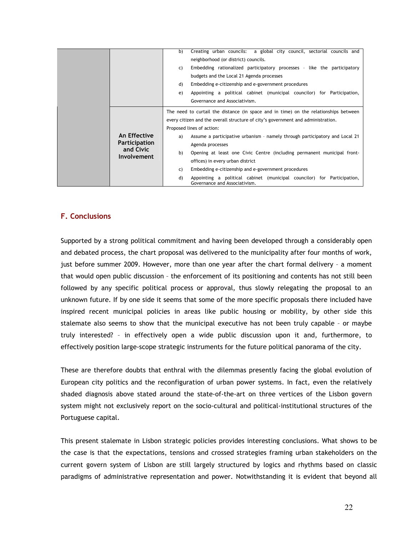|                                 |                                      | Creating urban councils: a global city council, sectorial councils and<br>b)                                   |
|---------------------------------|--------------------------------------|----------------------------------------------------------------------------------------------------------------|
|                                 |                                      | neighborhood (or district) councils.                                                                           |
|                                 |                                      | Embedding rationalized participatory processes - like the participatory<br>C)                                  |
|                                 |                                      | budgets and the Local 21 Agenda processes                                                                      |
|                                 |                                      | Embedding e-citizenship and e-government procedures<br>d)                                                      |
|                                 |                                      | Appointing a political cabinet (municipal councilor) for Participation,<br>e)                                  |
|                                 |                                      | Governance and Associativism.                                                                                  |
| and Civic<br><b>Involvement</b> | An Effective<br><b>Participation</b> | The need to curtail the distance (in space and in time) on the relationships between                           |
|                                 |                                      | every citizen and the overall structure of city's government and administration.                               |
|                                 |                                      | Proposed lines of action:                                                                                      |
|                                 |                                      | Assume a participative urbanism - namely through participatory and Local 21<br>a)                              |
|                                 |                                      | Agenda processes                                                                                               |
|                                 |                                      | b)<br>Opening at least one Civic Centre (including permanent municipal front-                                  |
|                                 |                                      | offices) in every urban district                                                                               |
|                                 |                                      | Embedding e-citizenship and e-government procedures<br>C)                                                      |
|                                 |                                      | d)<br>Appointing a political cabinet (municipal councilor) for Participation,<br>Governance and Associativism. |

# F. Conclusions

Supported by a strong political commitment and having been developed through a considerably open and debated process, the chart proposal was delivered to the municipality after four months of work, just before summer 2009. However, more than one year after the chart formal delivery – a moment that would open public discussion – the enforcement of its positioning and contents has not still been followed by any specific political process or approval, thus slowly relegating the proposal to an unknown future. If by one side it seems that some of the more specific proposals there included have inspired recent municipal policies in areas like public housing or mobility, by other side this stalemate also seems to show that the municipal executive has not been truly capable – or maybe truly interested? – in effectively open a wide public discussion upon it and, furthermore, to effectively position large-scope strategic instruments for the future political panorama of the city.

These are therefore doubts that enthral with the dilemmas presently facing the global evolution of European city politics and the reconfiguration of urban power systems. In fact, even the relatively shaded diagnosis above stated around the state-of-the-art on three vertices of the Lisbon govern system might not exclusively report on the socio-cultural and political-institutional structures of the Portuguese capital.

This present stalemate in Lisbon strategic policies provides interesting conclusions. What shows to be the case is that the expectations, tensions and crossed strategies framing urban stakeholders on the current govern system of Lisbon are still largely structured by logics and rhythms based on classic paradigms of administrative representation and power. Notwithstanding it is evident that beyond all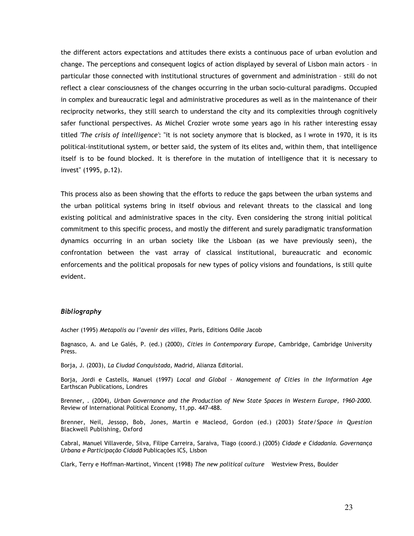the different actors expectations and attitudes there exists a continuous pace of urban evolution and change. The perceptions and consequent logics of action displayed by several of Lisbon main actors – in particular those connected with institutional structures of government and administration – still do not reflect a clear consciousness of the changes occurring in the urban socio-cultural paradigms. Occupied in complex and bureaucratic legal and administrative procedures as well as in the maintenance of their reciprocity networks, they still search to understand the city and its complexities through cognitively safer functional perspectives. As Michel Crozier wrote some years ago in his rather interesting essay titled 'The crisis of intelligence': "it is not society anymore that is blocked, as I wrote in 1970, it is its political-institutional system, or better said, the system of its elites and, within them, that intelligence itself is to be found blocked. It is therefore in the mutation of intelligence that it is necessary to invest" (1995, p.12).

This process also as been showing that the efforts to reduce the gaps between the urban systems and the urban political systems bring in itself obvious and relevant threats to the classical and long existing political and administrative spaces in the city. Even considering the strong initial political commitment to this specific process, and mostly the different and surely paradigmatic transformation dynamics occurring in an urban society like the Lisboan (as we have previously seen), the confrontation between the vast array of classical institutional, bureaucratic and economic enforcements and the political proposals for new types of policy visions and foundations, is still quite evident.

# Bibliography

Ascher (1995) Metapolis ou l'avenir des villes, Paris, Editions Odile Jacob

Bagnasco, A. and Le Galés, P. (ed.) (2000), Cities in Contemporary Europe, Cambridge, Cambridge University Press.

Borja, J. (2003), La Ciudad Conquistada, Madrid, Alianza Editorial.

Borja, Jordi e Castells, Manuel (1997) Local and Global - Management of Cities in the Information Age Earthscan Publications, Londres

Brenner, . (2004), Urban Governance and the Production of New State Spaces in Western Europe, 1960-2000. Review of International Political Economy, 11,pp. 447-488.

Brenner, Neil, Jessop, Bob, Jones, Martin e Macleod, Gordon (ed.) (2003) State/Space in Question Blackwell Publishing, Oxford

Cabral, Manuel Villaverde, Silva, Filipe Carreira, Saraiva, Tiago (coord.) (2005) Cidade e Cidadania. Governança Urbana e Participação Cidadã Publicações ICS, Lisbon

Clark, Terry e Hoffman-Martinot, Vincent (1998) The new political culture Westview Press, Boulder